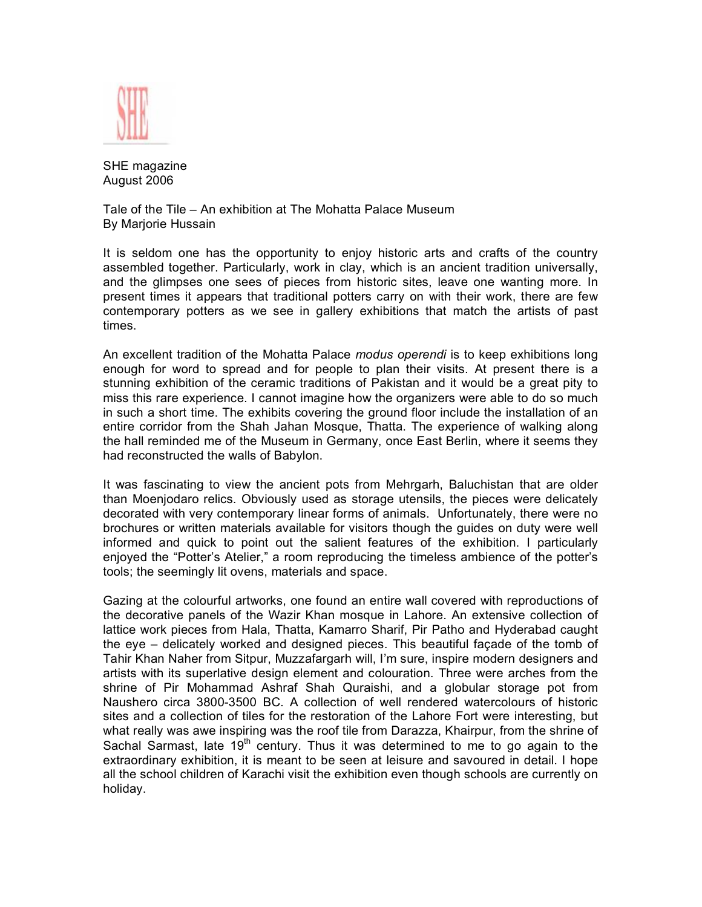

SHE magazine August 2006

Tale of the Tile – An exhibition at The Mohatta Palace Museum By Marjorie Hussain

It is seldom one has the opportunity to enjoy historic arts and crafts of the country assembled together. Particularly, work in clay, which is an ancient tradition universally, and the glimpses one sees of pieces from historic sites, leave one wanting more. In present times it appears that traditional potters carry on with their work, there are few contemporary potters as we see in gallery exhibitions that match the artists of past times.

An excellent tradition of the Mohatta Palace *modus operendi* is to keep exhibitions long enough for word to spread and for people to plan their visits. At present there is a stunning exhibition of the ceramic traditions of Pakistan and it would be a great pity to miss this rare experience. I cannot imagine how the organizers were able to do so much in such a short time. The exhibits covering the ground floor include the installation of an entire corridor from the Shah Jahan Mosque, Thatta. The experience of walking along the hall reminded me of the Museum in Germany, once East Berlin, where it seems they had reconstructed the walls of Babylon.

It was fascinating to view the ancient pots from Mehrgarh, Baluchistan that are older than Moenjodaro relics. Obviously used as storage utensils, the pieces were delicately decorated with very contemporary linear forms of animals. Unfortunately, there were no brochures or written materials available for visitors though the guides on duty were well informed and quick to point out the salient features of the exhibition. I particularly enjoyed the "Potter's Atelier," a room reproducing the timeless ambience of the potter's tools; the seemingly lit ovens, materials and space.

Gazing at the colourful artworks, one found an entire wall covered with reproductions of the decorative panels of the Wazir Khan mosque in Lahore. An extensive collection of lattice work pieces from Hala, Thatta, Kamarro Sharif, Pir Patho and Hyderabad caught the eye – delicately worked and designed pieces. This beautiful façade of the tomb of Tahir Khan Naher from Sitpur, Muzzafargarh will, I'm sure, inspire modern designers and artists with its superlative design element and colouration. Three were arches from the shrine of Pir Mohammad Ashraf Shah Quraishi, and a globular storage pot from Naushero circa 3800-3500 BC. A collection of well rendered watercolours of historic sites and a collection of tiles for the restoration of the Lahore Fort were interesting, but what really was awe inspiring was the roof tile from Darazza, Khairpur, from the shrine of Sachal Sarmast, late  $19<sup>th</sup>$  century. Thus it was determined to me to go again to the extraordinary exhibition, it is meant to be seen at leisure and savoured in detail. I hope all the school children of Karachi visit the exhibition even though schools are currently on holiday.